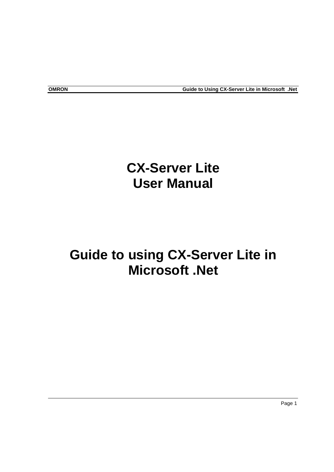# **CX-Server Lite User Manual**

# **Guide to using CX-Server Lite in Microsoft .Net**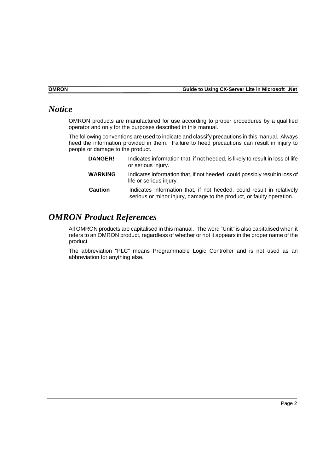# *Notice*

OMRON products are manufactured for use according to proper procedures by a qualified operator and only for the purposes described in this manual.

The following conventions are used to indicate and classify precautions in this manual. Always heed the information provided in them. Failure to heed precautions can result in injury to people or damage to the product.

| <b>DANGER!</b> | Indicates information that, if not heeded, is likely to result in loss of life<br>or serious injury.                                          |
|----------------|-----------------------------------------------------------------------------------------------------------------------------------------------|
| <b>WARNING</b> | Indicates information that, if not heeded, could possibly result in loss of<br>life or serious injury.                                        |
| <b>Caution</b> | Indicates information that, if not heeded, could result in relatively<br>serious or minor injury, damage to the product, or faulty operation. |

## *OMRON Product References*

All OMRON products are capitalised in this manual. The word "Unit" is also capitalised when it refers to an OMRON product, regardless of whether or not it appears in the proper name of the product.

The abbreviation "PLC" means Programmable Logic Controller and is not used as an abbreviation for anything else.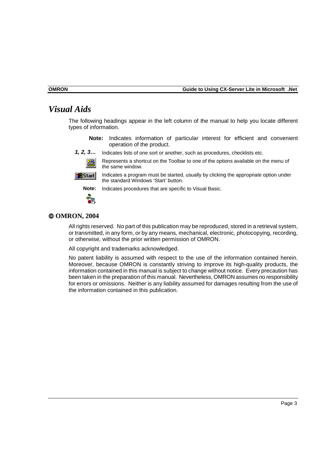## *Visual Aids*

The following headings appear in the left column of the manual to help you locate different types of information.

- **Note:** Indicates information of particular interest for efficient and convenient operation of the product.
- *1, 2, 3…* Indicates lists of one sort or another, such as procedures, checklists etc.
	- Represents a shortcut on the Toolbar to one of the options available on the menu of 温 the same window.



Indicates a program must be started, usually by clicking the appropriate option under the standard Windows 'Start' button.



**Note:** Indicates procedures that are specific to Visual Basic.

#### **OMRON, 2004**

All rights reserved. No part of this publication may be reproduced, stored in a retrieval system, or transmitted, in any form, or by any means, mechanical, electronic, photocopying, recording, or otherwise, without the prior written permission of OMRON.

All copyright and trademarks acknowledged.

No patent liability is assumed with respect to the use of the information contained herein. Moreover, because OMRON is constantly striving to improve its high-quality products, the information contained in this manual is subject to change without notice. Every precaution has been taken in the preparation of this manual. Nevertheless, OMRON assumes no responsibility for errors or omissions. Neither is any liability assumed for damages resulting from the use of the information contained in this publication.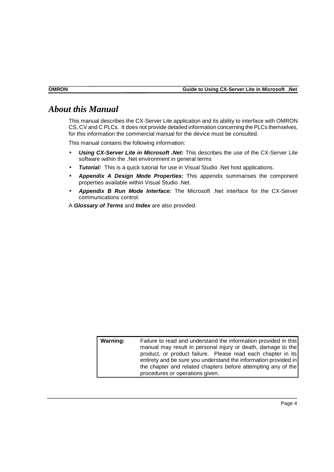## *About this Manual*

This manual describes the CX-Server Lite application and its ability to interface with OMRON CS, CV and C PLCs. It does not provide detailed information concerning the PLCs themselves, for this information the commercial manual for the device must be consulted.

This manual contains the following information:

- *Using CX-Server Lite in Microsoft .Net:* This describes the use of the CX-Server Lite software within the .Net environment in general terms
- *Tutorial:* This is a quick tutorial for use in Visual Studio .Net host applications.
- *Appendix A Design Mode Properties:* This appendix summarises the component properties available within Visual Studio .Net.
- *Appendix B Run Mode Interface:* The Microsoft .Net interface for the CX-Server communications control.
- A *Glossary of Terms* and *Index* are also provided.

| Warning: | Failure to read and understand the information provided in this<br>manual may result in personal injury or death, damage to the<br>product, or product failure. Please read each chapter in its<br>entirety and be sure you understand the information provided in<br>the chapter and related chapters before attempting any of the |
|----------|-------------------------------------------------------------------------------------------------------------------------------------------------------------------------------------------------------------------------------------------------------------------------------------------------------------------------------------|
|          | procedures or operations given.                                                                                                                                                                                                                                                                                                     |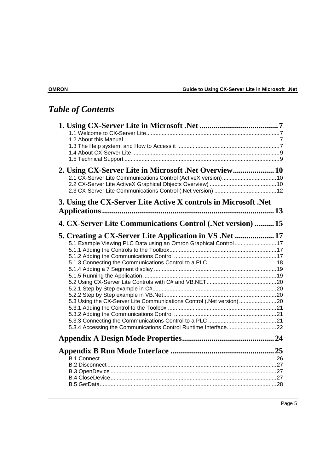# *Table of Contents*

| 2.1 CX-Server Lite Communications Control (ActiveX version) 10        |  |
|-----------------------------------------------------------------------|--|
|                                                                       |  |
| 3. Using the CX-Server Lite Active X controls in Microsoft .Net       |  |
|                                                                       |  |
| 4. CX-Server Lite Communications Control (.Net version)  15           |  |
| 5. Creating a CX-Server Lite Application in VS . Net  17              |  |
| 5.1 Example Viewing PLC Data using an Omron Graphical Control 17      |  |
|                                                                       |  |
|                                                                       |  |
|                                                                       |  |
|                                                                       |  |
|                                                                       |  |
|                                                                       |  |
|                                                                       |  |
|                                                                       |  |
| 5.3 Using the CX-Server Lite Communications Control (.Net version) 20 |  |
|                                                                       |  |
|                                                                       |  |
|                                                                       |  |
|                                                                       |  |
|                                                                       |  |
|                                                                       |  |
|                                                                       |  |
|                                                                       |  |
|                                                                       |  |
|                                                                       |  |
|                                                                       |  |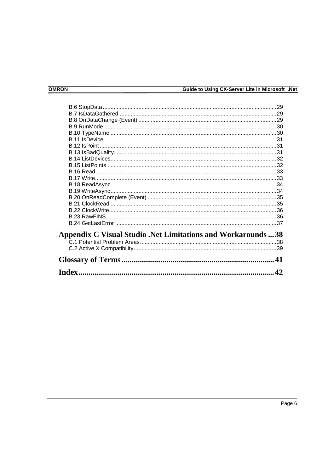| <b>Appendix C Visual Studio .Net Limitations and Workarounds 38</b> |    |
|---------------------------------------------------------------------|----|
|                                                                     |    |
|                                                                     |    |
|                                                                     |    |
|                                                                     | 42 |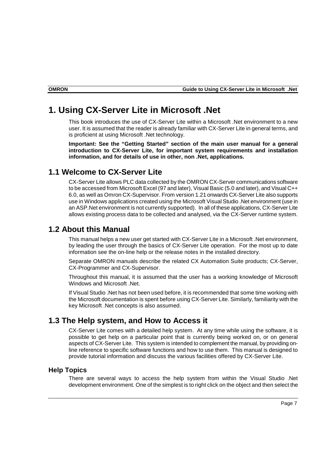## <span id="page-6-0"></span>**1. Using CX-Server Lite in Microsoft .Net**

This book introduces the use of CX-Server Lite within a Microsoft .Net environment to a new user. It is assumed that the reader is already familiar with CX-Server Lite in general terms, and is proficient at using Microsoft .Net technology.

**Important: See the "Getting Started" section of the main user manual for a general introduction to CX-Server Lite, for important system requirements and installation information, and for details of use in other, non .Net, applications.** 

#### **1.1 Welcome to CX-Server Lite**

CX-Server Lite allows PLC data collected by the OMRON CX-Server communications software to be accessed from Microsoft Excel (97 and later), Visual Basic (5.0 and later), and Visual C++ 6.0, as well as Omron CX-Supervisor. From version 1.21 onwards CX-Server Lite also supports use in Windows applications created using the Microsoft Visual Studio .Net environment (use in an ASP.Net environment is not currently supported). In all of these applications, CX-Server Lite allows existing process data to be collected and analysed, via the CX-Server runtime system.

#### **1.2 About this Manual**

This manual helps a new user get started with CX-Server Lite in a Microsoft .Net environment, by leading the user through the basics of CX-Server Lite operation. For the most up to date information see the on-line help or the release notes in the installed directory.

Separate OMRON manuals describe the related CX Automation Suite products; CX-Server, CX-Programmer and CX-Supervisor.

Throughout this manual, it is assumed that the user has a working knowledge of Microsoft Windows and Microsoft .Net.

If Visual Studio .Net has not been used before, it is recommended that some time working with the Microsoft documentation is spent before using CX-Server Lite. Similarly, familiarity with the key Microsoft .Net concepts is also assumed.

#### **1.3 The Help system, and How to Access it**

CX-Server Lite comes with a detailed help system. At any time while using the software, it is possible to get help on a particular point that is currently being worked on, or on general aspects of CX-Server Lite. This system is intended to complement the manual, by providing online reference to specific software functions and how to use them. This manual is designed to provide tutorial information and discuss the various facilities offered by CX-Server Lite.

#### **Help Topics**

There are several ways to access the help system from within the Visual Studio .Net development environment. One of the simplest is to right click on the object and then select the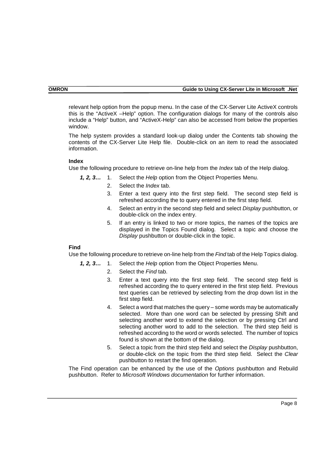#### **OMRON Guide to Using CX-Server Lite in Microsoft .Net**

relevant help option from the popup menu. In the case of the CX-Server Lite ActiveX controls this is the "ActiveX –Help" option. The configuration dialogs for many of the controls also include a "Help" button, and "ActiveX-Help" can also be accessed from below the properties window.

The help system provides a standard look-up dialog under the Contents tab showing the contents of the CX-Server Lite Help file. Double-click on an item to read the associated information.

#### **Index**

Use the following procedure to retrieve on-line help from the *Index* tab of the Help dialog.

*1, 2, 3…* 1. Select the *Help* option from the Object Properties Menu.

- 2. Select the *Index* tab.
- 3. Enter a text query into the first step field. The second step field is refreshed according the to query entered in the first step field.
- 4. Select an entry in the second step field and select *Display* pushbutton, or double-click on the index entry.
- 5. If an entry is linked to two or more topics, the names of the topics are displayed in the Topics Found dialog. Select a topic and choose the *Display* pushbutton or double-click in the topic.

#### **Find**

Use the following procedure to retrieve on-line help from the *Find* tab of the Help Topics dialog.

*1, 2, 3…* 1. Select the *Help* option from the Object Properties Menu.

- 2. Select the *Find* tab.
	- 3. Enter a text query into the first step field. The second step field is refreshed according the to query entered in the first step field. Previous text queries can be retrieved by selecting from the drop down list in the first step field.
	- 4. Select a word that matches the query some words may be automatically selected. More than one word can be selected by pressing Shift and selecting another word to extend the selection or by pressing Ctrl and selecting another word to add to the selection. The third step field is refreshed according to the word or words selected. The number of topics found is shown at the bottom of the dialog.
	- 5. Select a topic from the third step field and select the *Display* pushbutton, or double-click on the topic from the third step field. Select the *Clear* pushbutton to restart the find operation.

The Find operation can be enhanced by the use of the *Options* pushbutton and Rebuild pushbutton. Refer to *Microsoft Windows documentation* for further information.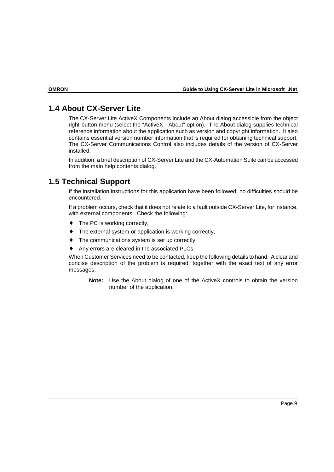#### <span id="page-8-0"></span>**1.4 About CX-Server Lite**

The CX-Server Lite ActiveX Components include an About dialog accessible from the object right-button menu (select the "ActiveX - About" option). The About dialog supplies technical reference information about the application such as version and copyright information. It also contains essential version number information that is required for obtaining technical support. The CX-Server Communications Control also includes details of the version of CX-Server installed.

In addition, a brief description of CX-Server Lite and the CX-Automation Suite can be accessed from the main help contents dialog.

## **1.5 Technical Support**

If the installation instructions for this application have been followed, no difficulties should be encountered.

If a problem occurs, check that it does not relate to a fault outside CX-Server Lite, for instance, with external components. Check the following:

- The PC is working correctly,
- The external system or application is working correctly,
- The communications system is set up correctly,
- Any errors are cleared in the associated PLCs.

When Customer Services need to be contacted, keep the following details to hand. A clear and concise description of the problem is required, together with the exact text of any error messages.

**Note:** Use the About dialog of one of the ActiveX controls to obtain the version number of the application.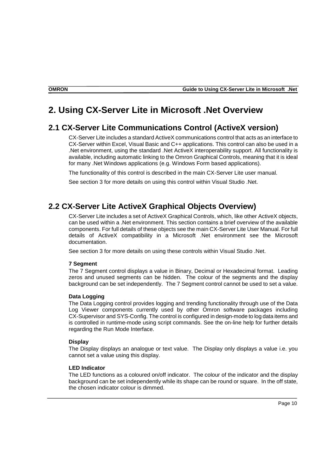## <span id="page-9-0"></span>**2. Using CX-Server Lite in Microsoft .Net Overview**

#### **2.1 CX-Server Lite Communications Control (ActiveX version)**

CX-Server Lite includes a standard ActiveX communications control that acts as an interface to CX-Server within Excel, Visual Basic and C++ applications. This control can also be used in a .Net environment, using the standard .Net ActiveX interoperability support. All functionality is available, including automatic linking to the Omron Graphical Controls, meaning that it is ideal for many .Net Windows applications (e.g. Windows Form based applications).

The functionality of this control is described in the main CX-Server Lite user manual.

See section 3 for more details on using this control within Visual Studio .Net.

### **2.2 CX-Server Lite ActiveX Graphical Objects Overview)**

CX-Server Lite includes a set of ActiveX Graphical Controls, which, like other ActiveX objects, can be used within a .Net environment. This section contains a brief overview of the available components. For full details of these objects see the main CX-Server Lite User Manual. For full details of ActiveX compatibility in a Microsoft .Net environment see the Microsoft documentation.

See section 3 for more details on using these controls within Visual Studio .Net.

#### **7 Segment**

The 7 Segment control displays a value in Binary, Decimal or Hexadecimal format. Leading zeros and unused segments can be hidden. The colour of the segments and the display background can be set independently. The 7 Segment control cannot be used to set a value.

#### **Data Logging**

The Data Logging control provides logging and trending functionality through use of the Data Log Viewer components currently used by other Omron software packages including CX-Supervisor and SYS-Config. The control is configured in design-mode to log data items and is controlled in runtime-mode using script commands. See the on-line help for further details regarding the Run Mode Interface.

#### **Display**

The Display displays an analogue or text value. The Display only displays a value i.e. you cannot set a value using this display.

#### **LED Indicator**

The LED functions as a coloured on/off indicator. The colour of the indicator and the display background can be set independently while its shape can be round or square. In the off state, the chosen indicator colour is dimmed.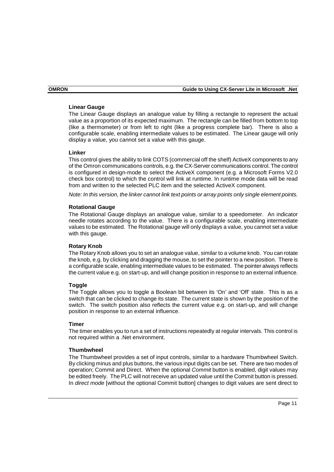#### **Linear Gauge**

The Linear Gauge displays an analogue value by filling a rectangle to represent the actual value as a proportion of its expected maximum. The rectangle can be filled from bottom to top (like a thermometer) or from left to right (like a progress complete bar). There is also a configurable scale, enabling intermediate values to be estimated. The Linear gauge will only display a value, you cannot set a value with this gauge.

#### **Linker**

This control gives the ability to link COTS (commercial off the shelf) ActiveX components to any of the Omron communications controls, e.g. the CX-Server communications control. The control is configured in design-mode to select the ActiveX component (e.g. a Microsoft Forms V2.0 check box control) to which the control will link at runtime. In runtime mode data will be read from and written to the selected PLC item and the selected ActiveX component.

*Note: In this version, the linker cannot link text points or array points only single element points.* 

#### **Rotational Gauge**

The Rotational Gauge displays an analogue value, similar to a speedometer. An indicator needle rotates according to the value. There is a configurable scale, enabling intermediate values to be estimated. The Rotational gauge will only displays a value, you cannot set a value with this gauge.

#### **Rotary Knob**

The Rotary Knob allows you to set an analogue value, similar to a volume knob. You can rotate the knob, e.g. by clicking and dragging the mouse, to set the pointer to a new position. There is a configurable scale, enabling intermediate values to be estimated. The pointer always reflects the current value e.g. on start-up, and will change position in response to an external influence.

#### **Toggle**

The Toggle allows you to toggle a Boolean bit between its 'On' and 'Off' state. This is as a switch that can be clicked to change its state. The current state is shown by the position of the switch. The switch position also reflects the current value e.g. on start-up, and will change position in response to an external influence.

#### **Timer**

The timer enables you to run a set of instructions repeatedly at regular intervals. This control is not required within a .Net environment.

#### **Thumbwheel**

The Thumbwheel provides a set of input controls, similar to a hardware Thumbwheel Switch. By clicking minus and plus buttons, the various input digits can be set. There are two modes of operation; Commit and Direct. When the optional *Commit* button is enabled, digit values may be edited freely. The PLC will not receive an updated value until the Commit button is pressed. In *direct mode* [without the optional Commit button] changes to digit values are sent direct to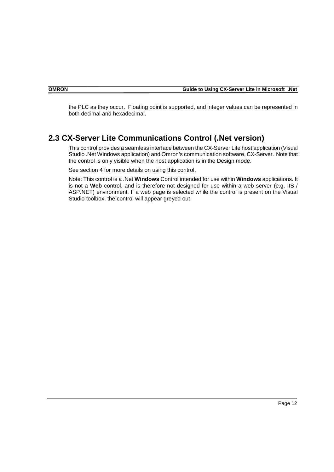<span id="page-11-0"></span>the PLC as they occur. Floating point is supported, and integer values can be represented in both decimal and hexadecimal.

#### **2.3 CX-Server Lite Communications Control (.Net version)**

This control provides a seamless interface between the CX-Server Lite host application (Visual Studio .Net Windows application) and Omron's communication software, CX-Server. Note that the control is only visible when the host application is in the Design mode.

See section 4 for more details on using this control.

Note: This control is a .Net **Windows** Control intended for use within **Windows** applications. It is not a **Web** control, and is therefore not designed for use within a web server (e.g. IIS / ASP.NET) environment. If a web page is selected while the control is present on the Visual Studio toolbox, the control will appear greyed out.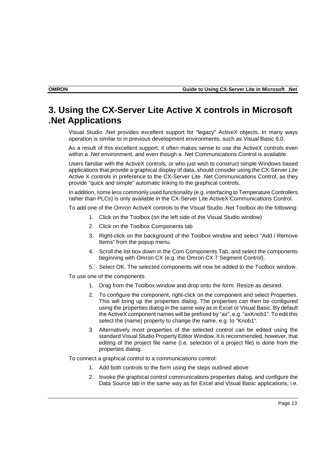## <span id="page-12-0"></span>**3. Using the CX-Server Lite Active X controls in Microsoft .Net Applications**

Visual Studio .Net provides excellent support for "legacy" ActiveX objects. In many ways operation is similar to in previous development environments, such as Visual Basic 6.0.

As a result of this excellent support, it often makes sense to use the ActiveX controls even within a .Net environment, and even though a .Net Communications Control is available.

Users familiar with the ActiveX controls, or who just wish to construct simple Windows based applications that provide a graphical display of data, should consider using the CX-Server Lite Active X controls in preference to the CX-Server Lite .Net Communications Control, as they provide "quick and simple" automatic linking to the graphical controls.

In addition, some less commonly used functionality (e.g. interfacing to Temperature Controllers rather than PLCs) is only available in the CX-Server Lite ActiveX Communications Control.

To add one of the Omron ActiveX controls to the Visual Studio .Net Toolbox do the following:

- 1. Click on the Toolbox (on the left side of the Visual Studio window)
- 2. Click on the Toolbox Components tab
- 3. Right-click on the background of the Toolbox window and select "Add / Remove Items" from the popup menu.
- 4. Scroll the list box down in the Com Components Tab, and select the components beginning with Omron CX (e.g. the Omron CX 7 Segment Control).
- 5. Select OK. The selected components will now be added to the Toolbox window.
- To use one of the components
	- 1. Drag from the Toolbox window and drop onto the form. Resize as desired.
	- 2. To configure the component, right-click on the component and select Properties. This will bring up the properties dialog. The properties can then be configured using the properties dialog in the same way as in Excel or Visual Basic. By default the ActiveX component names will be prefixed by "ax", e.g. "axKnob1". To edit this select the (name) property to change the name, e.g. to "Knob1".
	- 3. Alternatively most properties of the selected control can be edited using the standard Visual Studio Property Editor Window. It is recommended, however, that editing of the project file name (i.e. selection of a project file) is done from the properties dialog.

To connect a graphical control to a communications control:

- 1. Add both controls to the form using the steps outlined above
- 2. Invoke the graphical control communications properties dialog, and configure the Data Source tab in the same way as for Excel and Visual Basic applications, i.e.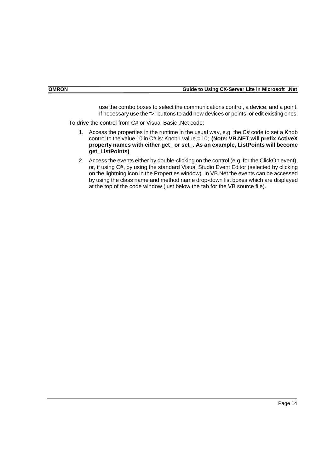use the combo boxes to select the communications control, a device, and a point. If necessary use the ">" buttons to add new devices or points, or edit existing ones.

To drive the control from C# or Visual Basic .Net code:

- 1. Access the properties in the runtime in the usual way, e.g. the C# code to set a Knob control to the value 10 in C# is: Knob1.value = 10; **(Note: VB.NET will prefix ActiveX property names with either get\_ or set\_. As an example, ListPoints will become get\_ListPoints)**
- 2. Access the events either by double-clicking on the control (e.g. for the ClickOn event), or, if using C#, by using the standard Visual Studio Event Editor (selected by clicking on the lightning icon in the Properties window). In VB.Net the events can be accessed by using the class name and method name drop-down list boxes which are displayed at the top of the code window (just below the tab for the VB source file).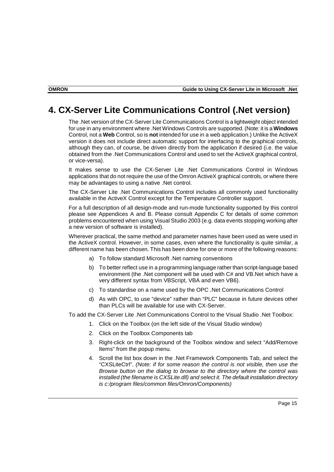## <span id="page-14-0"></span>**4. CX-Server Lite Communications Control (.Net version)**

The .Net version of the CX-Server Lite Communications Control is a lightweight object intended for use in any environment where .Net Windows Controls are supported. (Note: it is a **Windows** Control, not a **Web** Control, so is **not** intended for use in a web application.) Unlike the ActiveX version it does not include direct automatic support for interfacing to the graphical controls, although they can, of course, be driven directly from the application if desired (i.e. the value obtained from the .Net Communications Control and used to set the ActiveX graphical control, or vice-versa).

It makes sense to use the CX-Server Lite .Net Communications Control in Windows applications that do not require the use of the Omron ActiveX graphical controls, or where there may be advantages to using a native .Net control.

The CX-Server Lite .Net Communications Control includes all commonly used functionality available in the ActiveX Control except for the Temperature Controller support.

For a full description of all design-mode and run-mode functionality supported by this control please see Appendices A and B. Please consult Appendix C for details of some common problems encountered when using Visual Studio 2003 (e.g. data events stopping working after a new version of software is installed).

Wherever practical, the same method and parameter names have been used as were used in the ActiveX control. However, in some cases, even where the functionality is quite similar, a different name has been chosen. This has been done for one or more of the following reasons:

- a) To follow standard Microsoft .Net naming conventions
- b) To better reflect use in a programming language rather than script-language based environment (the .Net component will be used with C# and VB.Net which have a very different syntax from VBScript, VBA and even VB6).
- c) To standardise on a name used by the OPC .Net Communications Control
- d) As with OPC, to use "device" rather than "PLC" because in future devices other than PLCs will be available for use with CX-Server.

To add the CX-Server Lite .Net Communications Control to the Visual Studio .Net Toolbox:

- 1. Click on the Toolbox (on the left side of the Visual Studio window)
- 2. Click on the Toolbox Components tab
- 3. Right-click on the background of the Toolbox window and select "Add/Remove Items" from the popup menu.
- 4. Scroll the list box down in the .Net Framework Components Tab, and select the "CXSLiteCtrl". *(Note: if for some reason the control is not visible, then use the Browse button on the dialog to browse to the directory where the control was installed (the filename is CXSLite.dll) and select it. The default installation directory is c:/program files/common files/Omron/Components)*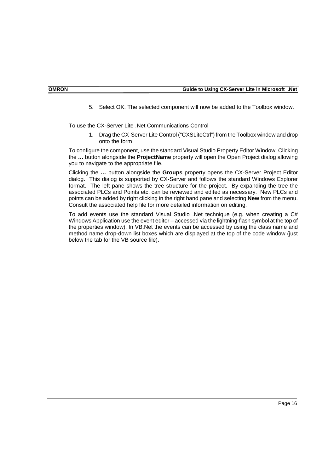5. Select OK. The selected component will now be added to the Toolbox window.

To use the CX-Server Lite .Net Communications Control

1. Drag the CX-Server Lite Control ("CXSLiteCtrl") from the Toolbox window and drop onto the form.

To configure the component, use the standard Visual Studio Property Editor Window. Clicking the **…** button alongside the **ProjectName** property will open the Open Project dialog allowing you to navigate to the appropriate file.

Clicking the **…** button alongside the **Groups** property opens the CX-Server Project Editor dialog. This dialog is supported by CX-Server and follows the standard Windows Explorer format. The left pane shows the tree structure for the project. By expanding the tree the associated PLCs and Points etc. can be reviewed and edited as necessary. New PLCs and points can be added by right clicking in the right hand pane and selecting **New** from the menu. Consult the associated help file for more detailed information on editing.

To add events use the standard Visual Studio .Net technique (e.g. when creating a C# Windows Application use the event editor – accessed via the lightning-flash symbol at the top of the properties window). In VB.Net the events can be accessed by using the class name and method name drop-down list boxes which are displayed at the top of the code window (just below the tab for the VB source file).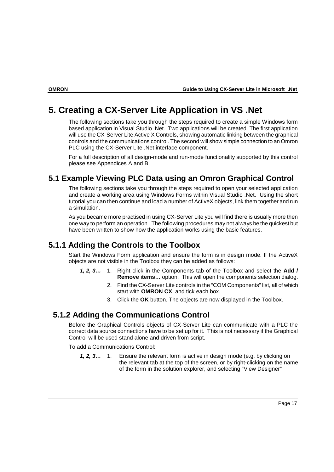## <span id="page-16-0"></span>**5. Creating a CX-Server Lite Application in VS .Net**

The following sections take you through the steps required to create a simple Windows form based application in Visual Studio .Net. Two applications will be created. The first application will use the CX-Server Lite Active X Controls, showing automatic linking between the graphical controls and the communications control. The second will show simple connection to an Omron PLC using the CX-Server Lite .Net interface component.

For a full description of all design-mode and run-mode functionality supported by this control please see Appendices A and B.

#### **5.1 Example Viewing PLC Data using an Omron Graphical Control**

The following sections take you through the steps required to open your selected application and create a working area using Windows Forms within Visual Studio .Net. Using the short tutorial you can then continue and load a number of ActiveX objects, link them together and run a simulation.

As you became more practised in using CX-Server Lite you will find there is usually more then one way to perform an operation. The following procedures may not always be the quickest but have been written to show how the application works using the basic features.

#### **5.1.1 Adding the Controls to the Toolbox**

Start the Windows Form application and ensure the form is in design mode. If the ActiveX objects are not visible in the Toolbox they can be added as follows:

- *1, 2, 3…* 1. Right click in the Components tab of the Toolbox and select the **Add / Remove items…** option. This will open the components selection dialog.
	- 2. Find the CX-Server Lite controls in the "COM Components" list, all of which start with **OMRON CX**, and tick each box.
	- 3. Click the **OK** button. The objects are now displayed in the Toolbox.

#### **5.1.2 Adding the Communications Control**

Before the Graphical Controls objects of CX-Server Lite can communicate with a PLC the correct data source connections have to be set up for it. This is not necessary if the Graphical Control will be used stand alone and driven from script.

To add a Communications Control:

*1, 2, 3…* 1. Ensure the relevant form is active in design mode (e.g. by clicking on the relevant tab at the top of the screen, or by right-clicking on the name of the form in the solution explorer, and selecting "View Designer"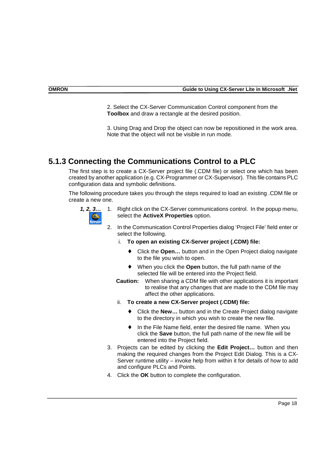<span id="page-17-0"></span>2. Select the CX-Server Communication Control component from the **Toolbox** and draw a rectangle at the desired position.

3. Using Drag and Drop the object can now be repositioned in the work area. Note that the object will not be visible in run mode.

### **5.1.3 Connecting the Communications Control to a PLC**

The first step is to create a CX-Server project file (.CDM file) or select one which has been created by another application (e.g. CX-Programmer or CX-Supervisor). This file contains PLC configuration data and symbolic definitions.

The following procedure takes you through the steps required to load an existing .CDM file or create a new one.



*1, 2, 3…* 1. Right click on the CX-Server communications control. In the popup menu, select the **ActiveX Properties** option.

- 2. In the Communication Control Properties dialog 'Project File' field enter or select the following.
	- i. **To open an existing CX-Server project (.CDM) file:** 
		- Click the **Open...** button and in the Open Project dialog navigate to the file you wish to open.
		- When you click the **Open** button, the full path name of the selected file will be entered into the Project field.
	- **Caution:** When sharing a CDM file with other applications it is important to realise that any changes that are made to the CDM file may affect the other applications.
	- ii. **To create a new CX-Server project (.CDM) file:** 
		- ♦ Click the **New…** button and in the Create Project dialog navigate to the directory in which you wish to create the new file.
		- ♦ In the File Name field, enter the desired file name. When you click the **Save** button, the full path name of the new file will be entered into the Project field.
- 3. Projects can be edited by clicking the **Edit Project…** button and then making the required changes from the Project Edit Dialog. This is a CX-Server runtime utility – invoke help from within it for details of how to add and configure PLCs and Points.
- 4. Click the **OK** button to complete the configuration.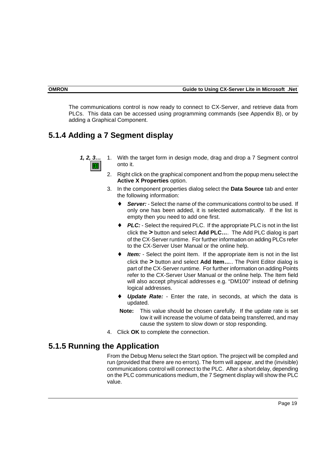<span id="page-18-0"></span>The communications control is now ready to connect to CX-Server, and retrieve data from PLCs. This data can be accessed using programming commands (see Appendix B), or by adding a Graphical Component.

## **5.1.4 Adding a 7 Segment display**



- *1, 2, 3…* 1. With the target form in design mode, drag and drop a 7 Segment control onto it.
	- 2. Right click on the graphical component and from the popup menu select the **Active X Properties** option.
	- 3. In the component properties dialog select the **Data Source** tab and enter the following information:
		- ♦ *Server:* Select the name of the communications control to be used. If only one has been added, it is selected automatically. If the list is empty then you need to add one first.
		- ◆ **PLC:** Select the required PLC. If the appropriate PLC is not in the list click the **>** button and select **Add PLC…**. The Add PLC dialog is part of the CX-Server runtime. For further information on adding PLCs refer to the CX-Server User Manual or the online help.
		- ♦ *Item:* Select the point Item. If the appropriate item is not in the list click the **>** button and select **Add Item…**.. The Point Editor dialog is part of the CX-Server runtime. For further information on adding Points refer to the CX-Server User Manual or the online help. The Item field will also accept physical addresses e.g. "DM100" instead of defining logical addresses.
		- **Update Rate:** Enter the rate, in seconds, at which the data is updated.
		- **Note:** This value should be chosen carefully. If the update rate is set low it will increase the volume of data being transferred, and may cause the system to slow down or stop responding.
	- 4. Click **OK** to complete the connection.

### **5.1.5 Running the Application**

From the Debug Menu select the Start option. The project will be compiled and run (provided that there are no errors). The form will appear, and the (invisible) communications control will connect to the PLC. After a short delay, depending on the PLC communications medium, the 7 Segment display will show the PLC value.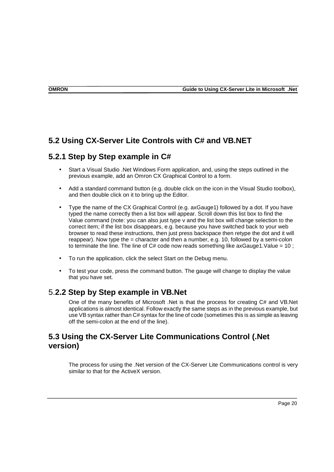### <span id="page-19-0"></span>**5.2 Using CX-Server Lite Controls with C# and VB.NET**

#### **5.2.1 Step by Step example in C#**

- Start a Visual Studio .Net Windows Form application, and, using the steps outlined in the previous example, add an Omron CX Graphical Control to a form.
- Add a standard command button (e.g. double click on the icon in the Visual Studio toolbox), and then double click on it to bring up the Editor.
- Type the name of the CX Graphical Control (e.g. axGauge1) followed by a dot. If you have typed the name correctly then a list box will appear. Scroll down this list box to find the Value command (note: you can also just type v and the list box will change selection to the correct item; if the list box disappears, e.g. because you have switched back to your web browser to read these instructions, then just press backspace then retype the dot and it will reappear). Now type the = character and then a number, e.g. 10, followed by a semi-colon to terminate the line. The line of  $C#$  code now reads something like axGauge1. Value = 10;
- To run the application, click the select Start on the Debug menu.
- To test your code, press the command button. The gauge will change to display the value that you have set.

#### 5.**2.2 Step by Step example in VB.Net**

One of the many benefits of Microsoft .Net is that the process for creating C# and VB.Net applications is almost identical. Follow exactly the same steps as in the previous example, but use VB syntax rather than C# syntax for the line of code (sometimes this is as simple as leaving off the semi-colon at the end of the line).

### **5.3 Using the CX-Server Lite Communications Control (.Net version)**

The process for using the .Net version of the CX-Server Lite Communications control is very similar to that for the ActiveX version.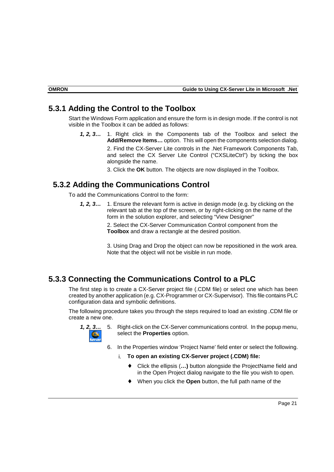#### <span id="page-20-0"></span>**5.3.1 Adding the Control to the Toolbox**

Start the Windows Form application and ensure the form is in design mode. If the control is not visible in the Toolbox it can be added as follows:

*1, 2, 3…* 1. Right click in the Components tab of the Toolbox and select the **Add/Remove Items…** option. This will open the components selection dialog. 2. Find the CX-Server Lite controls in the .Net Framework Components Tab, and select the CX Server Lite Control ("CXSLiteCtrl") by ticking the box alongside the name.

3. Click the **OK** button. The objects are now displayed in the Toolbox.

#### **5.3.2 Adding the Communications Control**

To add the Communications Control to the form:

*1, 2, 3…* 1. Ensure the relevant form is active in design mode (e.g. by clicking on the relevant tab at the top of the screen, or by right-clicking on the name of the form in the solution explorer, and selecting "View Designer"

> 2. Select the CX-Server Communication Control component from the **Toolbox** and draw a rectangle at the desired position.

3. Using Drag and Drop the object can now be repositioned in the work area. Note that the object will not be visible in run mode.

## **5.3.3 Connecting the Communications Control to a PLC**

The first step is to create a CX-Server project file (.CDM file) or select one which has been created by another application (e.g. CX-Programmer or CX-Supervisor). This file contains PLC configuration data and symbolic definitions.

The following procedure takes you through the steps required to load an existing .CDM file or create a new one.



- *1, 2, 3…* 5. Right-click on the CX-Server communications control. In the popup menu, select the **Properties** option.
	- 6. In the Properties window 'Project Name' field enter or select the following.
		- i. **To open an existing CX-Server project (.CDM) file:** 
			- Click the ellipsis (...) button alongside the ProjectName field and in the Open Project dialog navigate to the file you wish to open.
			- When you click the **Open** button, the full path name of the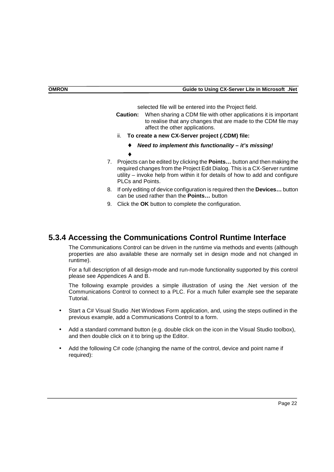selected file will be entered into the Project field.

- <span id="page-21-0"></span>**Caution:** When sharing a CDM file with other applications it is important to realise that any changes that are made to the CDM file may affect the other applications.
- ii. **To create a new CX-Server project (.CDM) file:** 
	- ♦ *Need to implement this functionality it's missing!*
- 7. Projects can be edited by clicking the **Points…** button and then making the required changes from the Project Edit Dialog. This is a CX-Server runtime utility – invoke help from within it for details of how to add and configure PLCs and Points.
- 8. If only editing of device configuration is required then the **Devices…** button can be used rather than the **Points…** button
- 9. Click the **OK** button to complete the configuration.

♦

#### **5.3.4 Accessing the Communications Control Runtime Interface**

The Communications Control can be driven in the runtime via methods and events (although properties are also available these are normally set in design mode and not changed in runtime).

For a full description of all design-mode and run-mode functionality supported by this control please see Appendices A and B.

The following example provides a simple illustration of using the .Net version of the Communications Control to connect to a PLC. For a much fuller example see the separate Tutorial.

- Start a C# Visual Studio .Net Windows Form application, and, using the steps outlined in the previous example, add a Communications Control to a form.
- Add a standard command button (e.g. double click on the icon in the Visual Studio toolbox), and then double click on it to bring up the Editor.
- Add the following C# code (changing the name of the control, device and point name if required):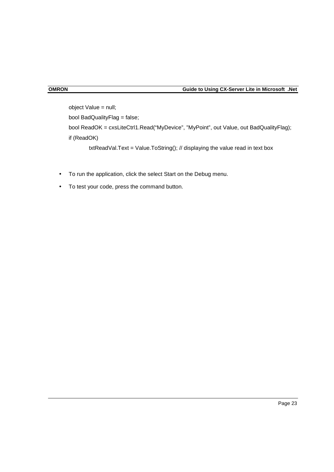object Value = null; bool BadQualityFlag = false; bool ReadOK = cxsLiteCtrl1.Read("MyDevice", "MyPoint", out Value, out BadQualityFlag); if (ReadOK) txtReadVal.Text = Value.ToString(); // displaying the value read in text box

- To run the application, click the select Start on the Debug menu.
- To test your code, press the command button.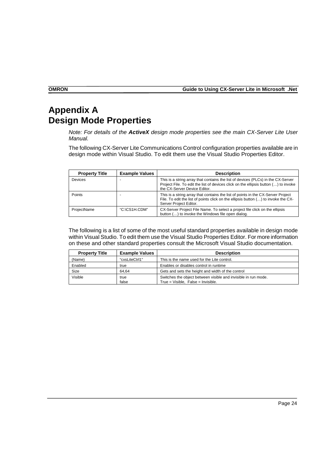<span id="page-23-0"></span>**OMRON Guide to Using CX-Server Lite in Microsoft .Net** 

## **Appendix A Design Mode Properties**

*Note: For details of the ActiveX design mode properties see the main CX-Server Lite User Manual.* 

The following CX-Server Lite Communications Control configuration properties available are in design mode within Visual Studio. To edit them use the Visual Studio Properties Editor.

| <b>Property Title</b> | <b>Example Values</b> | <b>Description</b>                                                                                                                                                                                      |
|-----------------------|-----------------------|---------------------------------------------------------------------------------------------------------------------------------------------------------------------------------------------------------|
| <b>Devices</b>        |                       | This is a string array that contains the list of devices (PLCs) in the CX-Server<br>Project File. To edit the list of devices click on the ellipsis button () to invoke<br>the CX-Server Device Editor. |
| Points                |                       | This is a string array that contains the list of points in the CX-Server Project<br>File. To edit the list of points click on the ellipsis button () to invoke the CX-<br>Server Project Editor.        |
| ProjectName           | "C:\CS1H.CDM"         | CX-Server Project File Name. To select a project file click on the ellipsis<br>button () to invoke the Windows file open dialog.                                                                        |

The following is a list of some of the most useful standard properties available in design mode within Visual Studio. To edit them use the Visual Studio Properties Editor. For more information on these and other standard properties consult the Microsoft Visual Studio documentation.

| <b>Property Title</b> | <b>Example Values</b> | <b>Description</b>                                                                                   |
|-----------------------|-----------------------|------------------------------------------------------------------------------------------------------|
| (Name)                | "cxsLiteCtrl1"        | This is the name used for the Lite control.                                                          |
| Enabled               | true                  | Enables or disables control in runtime                                                               |
| Size                  | 64.64                 | Gets and sets the height and width of the control                                                    |
| Visible               | true<br>false         | Switches the object between visible and invisible in run mode.<br>True = Visible. False = Invisible. |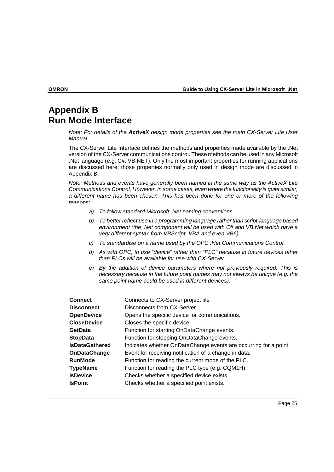## **Appendix B Run Mode Interface**

*Note: For details of the ActiveX design mode properties see the main CX-Server Lite User Manual.* 

The CX-Server Lite Interface defines the methods and properties made available by the .Net version of the CX-Server communications control. These methods can be used in any Microsoft .Net language (e.g. C#, VB.NET). Only the most important properties for running applications are discussed here; those properties normally only used in design mode are discussed in Appendix B.

*Note: Methods and events have generally been named in the same way as the ActiveX Lite Communications Control. However, in some cases, even where the functionality is quite similar, a different name has been chosen. This has been done for one or more of the following reasons:* 

- *a) To follow standard Microsoft .Net naming conventions*
- *b) To better reflect use in a programming language rather than script-language based environment (the .Net component will be used with C# and VB.Net which have a very different syntax from VBScript, VBA and even VB6).*
- *c) To standardise on a name used by the OPC .Net Communications Control*
- *d) As with OPC, to use "device" rather than "PLC" because in future devices other than PLCs will be available for use with CX-Server*
- *e) By the addition of device parameters where not previously required. This is necessary because in the future point names may not always be unique (e.g. the same point name could be used in different devices).*

| <b>Connect</b>        | Connects to CX-Server project file                               |
|-----------------------|------------------------------------------------------------------|
| <b>Disconnect</b>     | <b>Disconnects from CX-Server</b>                                |
| <b>OpenDevice</b>     | Opens the specific device for communications.                    |
| <b>CloseDevice</b>    | Closes the specific device.                                      |
| <b>GetData</b>        | Function for starting OnDataChange events.                       |
| <b>StopData</b>       | Function for stopping OnDataChange events.                       |
| <b>IsDataGathered</b> | Indicates whether OnDataChange events are occurring for a point. |
| <b>OnDataChange</b>   | Event for receiving notification of a change in data.            |
| <b>RunMode</b>        | Function for reading the current mode of the PLC.                |
| <b>TypeName</b>       | Function for reading the PLC type (e.g. CQM1H).                  |
| <b>IsDevice</b>       | Checks whether a specified device exists.                        |
| <b>IsPoint</b>        | Checks whether a specified point exists.                         |
|                       |                                                                  |

<span id="page-24-0"></span>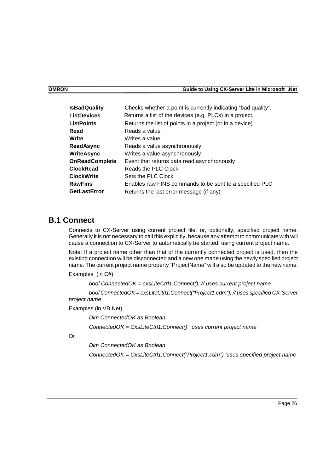<span id="page-25-0"></span>

| <b>IsBadQuality</b>   | Checks whether a point is currently indicating "bad quality". |
|-----------------------|---------------------------------------------------------------|
| <b>ListDevices</b>    | Returns a list of the devices (e.g. PLCs) in a project.       |
| <b>ListPoints</b>     | Returns the list of points in a project (or in a device).     |
| Read                  | Reads a value                                                 |
| Write                 | Writes a value                                                |
| <b>ReadAsync</b>      | Reads a value asynchronously                                  |
| <b>WriteAsync</b>     | Writes a value asynchronously                                 |
| <b>OnReadComplete</b> | Event that returns data read asynchronously                   |
| <b>ClockRead</b>      | Reads the PLC Clock                                           |
| <b>ClockWrite</b>     | Sets the PLC Clock                                            |
| <b>RawFins</b>        | Enables raw FINS commands to be sent to a specified PLC       |
| <b>GetLastError</b>   | Returns the last error message (if any)                       |

#### **B.1 Connect**

Connects to CX-Server using current project file, or, optionally, specified project name. Generally it is not necessary to call this explicitly, because any attempt to communicate with will cause a connection to CX-Server to automatically be started, using current project name.

Note: If a project name other than that of the currently connected project is used, then the existing connection will be disconnected and a new one made using the newly specified project name. The current project name property "ProjectName" will also be updated to the new name.

Examples (in C#)

*bool ConnectedOK = cxsLiteCtrl1.Connect(); // uses current project name* 

*bool ConnectedOK = cxsLiteCtrl1.Connect("Project1.cdm"); // uses specified CX-Server project name* 

Examples (in VB.Net)

 *Dim ConnectedOK as Boolean ConnectedOK = CxsLiteCtrl1.Connect() ' uses current project name* 

Or

 *Dim ConnectedOK as Boolean* 

 *ConnectedOK = CxsLiteCtrl1.Connect("Project1.cdm") 'uses specified project name*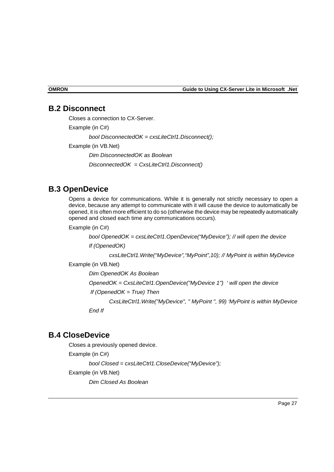#### <span id="page-26-0"></span>**B.2 Disconnect**

Closes a connection to CX-Server. Example (in C#) *bool DisconnectedOK = cxsLiteCtrl1.Disconnect();*  Example (in VB.Net) *Dim DisconnectedOK as Boolean DisconnectedOK = CxsLiteCtrl1.Disconnect()* 

#### **B.3 OpenDevice**

Opens a device for communications. While it is generally not strictly necessary to open a device, because any attempt to communicate with it will cause the device to automatically be opened, it is often more efficient to do so (otherwise the device may be repeatedly automatically opened and closed each time any communications occurs).

Example (in C#)

*bool OpenedOK = cxsLiteCtrl1.OpenDevice("MyDevice"); // will open the device If (OpenedOK)* 

*cxsLiteCtrl1.Write("MyDevice","MyPoint",10); // MyPoint is within MyDevice* 

Example (in VB.Net)

*Dim OpenedOK As Boolean* 

 *OpenedOK = CxsLiteCtrl1.OpenDevice("MyDevice 1") ' will open the device* 

 *If (OpenedOK = True) Then* 

 *CxsLiteCtrl1.Write("MyDevice", " MyPoint ", 99) 'MyPoint is within MyDevice* 

 *End If* 

#### **B.4 CloseDevice**

Closes a previously opened device. Example (in C#) *bool Closed = cxsLiteCtrl1.CloseDevice("MyDevice");*  Example (in VB.Net) *Dim Closed As Boolean*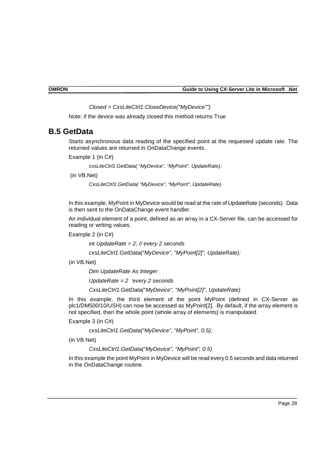*Closed = CxsLiteCtrl1.CloseDevice("MyDevice"")* 

<span id="page-27-0"></span>Note: if the device was already closed this method returns True

#### **B.5 GetData**

Starts asynchronous data reading of the specified point at the requested update rate. The returned values are returned in OnDataChange events.

Example 1 (in C#)

*cxsLiteCtrl1.GetData( "MyDevice", "MyPoint", UpdateRate);* 

(in VB.Net)

*CxsLiteCtrl1.GetData( "MyDevice", "MyPoint", UpdateRate)* 

In this example, MyPoint in MyDevice would be read at the rate of UpdateRate (seconds). Data is then sent to the OnDataChange event handler.

An individual element of a point, defined as an array in a CX-Server file, can be accessed for reading or writing values.

Example 2 (in C#)

*int UpdateRate = 2; // every 2 seconds* 

*cxsLiteCtrl1.GetData("MyDevice", "MyPoint[2]", UpdateRate);* 

(in VB.Net)

*Dim UpdateRate As Integer* 

*UpdateRate = 2 'every 2 seconds* 

*CxsLiteCtrl1.GetData("MyDevice", "MyPoint[2]", UpdateRate)* 

In this example, the third element of the point MyPoint (defined in CX-Server as plc1/DM500/10/USH) can now be accessed as MyPoint[2]. By default, if the array element is not specified, then the whole point (whole array of elements) is manipulated.

Example 3 (in C#)

*cxsLiteCtrl1.GetData("MyDevice", "MyPoint", 0.5);* 

(in VB.Net)

 *CxsLiteCtrl1.GetData("MyDevice", "MyPoint", 0.5)* 

In this example the point MyPoint in MyDevice will be read every 0.5 seconds and data returned in the OnDataChange routine.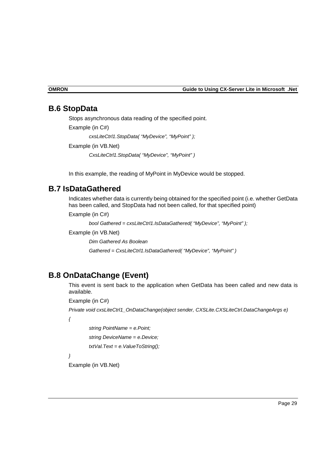#### <span id="page-28-0"></span>**B.6 StopData**

Stops asynchronous data reading of the specified point.

Example (in C#)

*cxsLiteCtrl1.StopData( "MyDevice", "MyPoint" );* 

Example (in VB.Net)

*CxsLiteCtrl1.StopData( "MyDevice", "MyPoint" )* 

In this example, the reading of MyPoint in MyDevice would be stopped.

#### **B.7 IsDataGathered**

Indicates whether data is currently being obtained for the specified point (i.e. whether GetData has been called, and StopData had not been called, for that specified point)

Example (in C#)

*bool Gathered = cxsLiteCtrl1.IsDataGathered( "MyDevice", "MyPoint" );* 

Example (in VB.Net)

*Dim Gathered As Boolean* 

*Gathered = CxsLiteCtrl1.IsDataGathered( "MyDevice", "MyPoint" )* 

#### **B.8 OnDataChange (Event)**

This event is sent back to the application when GetData has been called and new data is available.

Example (in C#)

*Private void cxsLiteCtrl1\_OnDataChange(object sender, CXSLite.CXSLiteCtrl.DataChangeArgs e)* 

*{* 

 *string PointName = e.Point; string DeviceName = e.Device; txtVal.Text = e.ValueToString();* 

*}* 

Example (in VB.Net)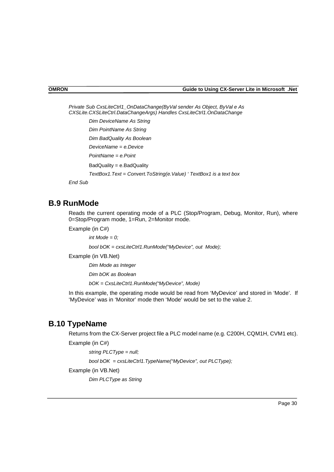<span id="page-29-0"></span>*Private Sub CxsLiteCtrl1\_OnDataChange(ByVal sender As Object, ByVal e As CXSLite.CXSLiteCtrl.DataChangeArgs) Handles CxsLiteCtrl1.OnDataChange Dim DeviceName As String Dim PointName As String* 

 *Dim BadQuality As Boolean* 

 *DeviceName = e.Device* 

 *PointName = e.Point* 

BadQuality = e.BadQuality

*TextBox1.Text = Convert.ToString(e.Value) ' TextBox1 is a text box* 

 *End Sub* 

#### **B.9 RunMode**

Reads the current operating mode of a PLC (Stop/Program, Debug, Monitor, Run), where 0=Stop/Program mode, 1=Run, 2=Monitor mode.

Example (in C#)

*int Mode = 0;* 

*bool bOK = cxsLiteCtrl1.RunMode("MyDevice", out Mode);* 

Example (in VB.Net)

 *Dim Mode as Integer* 

 *Dim bOK as Boolean* 

 *bOK = CxsLiteCtrl1.RunMode("MyDevice", Mode)* 

In this example, the operating mode would be read from 'MyDevice' and stored in 'Mode'. If 'MyDevice' was in 'Monitor' mode then 'Mode' would be set to the value 2.

#### **B.10 TypeName**

Returns from the CX-Server project file a PLC model name (e.g. C200H, CQM1H, CVM1 etc).

Example (in C#)

*string PLCType = null;* 

*bool bOK = cxsLiteCtrl1.TypeName("MyDevice", out PLCType);* 

Example (in VB.Net)

 *Dim PLCType as String*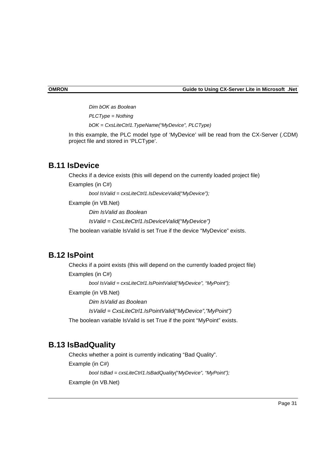<span id="page-30-0"></span>**OMRON Guide to Using CX-Server Lite in Microsoft .Net** 

 *Dim bOK as Boolean PLCType = Nothing bOK = CxsLiteCtrl1.TypeName("MyDevice", PLCType)* 

In this example, the PLC model type of 'MyDevice' will be read from the CX-Server (.CDM) project file and stored in 'PLCType'.

#### **B.11 IsDevice**

Checks if a device exists (this will depend on the currently loaded project file)

Examples (in C#)

*bool IsValid = cxsLiteCtrl1.IsDeviceValid("MyDevice");* 

Example (in VB.Net)

*Dim IsValid as Boolean* 

*IsValid = CxsLiteCtrl1.IsDeviceValid("MyDevice")* 

The boolean variable IsValid is set True if the device "MyDevice" exists.

#### **B.12 IsPoint**

Checks if a point exists (this will depend on the currently loaded project file) Examples (in C#) *bool IsValid = cxsLiteCtrl1.IsPointValid("MyDevice", "MyPoint");*  Example (in VB.Net) *Dim IsValid as Boolean IsValid = CxsLiteCtrl1.IsPointValid("MyDevice","MyPoint")*  The boolean variable IsValid is set True if the point "MyPoint" exists.

#### **B.13 IsBadQuality**

Checks whether a point is currently indicating "Bad Quality". Example (in C#) *bool IsBad = cxsLiteCtrl1.IsBadQuality("MyDevice", "MyPoint");*  Example (in VB.Net)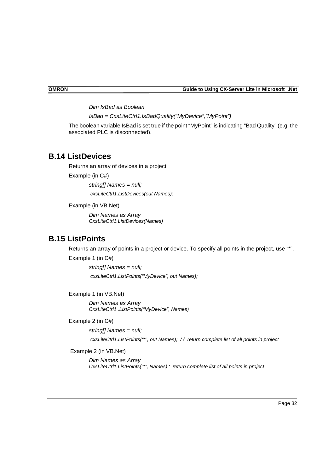<span id="page-31-0"></span>*Dim IsBad as Boolean* 

*IsBad = CxsLiteCtrl1.IsBadQuality("MyDevice","MyPoint")* 

The boolean variable IsBad is set true if the point "MyPoint" is indicating "Bad Quality" (e.g. the associated PLC is disconnected).

#### **B.14 ListDevices**

Returns an array of devices in a project

Example (in C#)

*string[] Names = null; cxsLiteCtrl1.ListDevices(out Names);* 

Example (in VB.Net)

 *Dim Names as Array CxsLiteCtrl1.ListDevices(Names)* 

#### **B.15 ListPoints**

Returns an array of points in a project or device. To specify all points in the project, use "\*".

Example 1 (in C#)

*string[] Names = null; cxsLiteCtrl1.ListPoints("MyDevice", out Names);* 

Example 1 (in VB.Net)

 *Dim Names as Array CxsLiteCtrl1 .ListPoints("MyDevice", Names)*

Example 2 (in C#)

*string[] Names = null; cxsLiteCtrl1.ListPoints("\*", out Names); / / return complete list of all points in project* 

Example 2 (in VB.Net)

*Dim Names as Array CxsLiteCtrl1.ListPoints("\*", Names) ' return complete list of all points in project*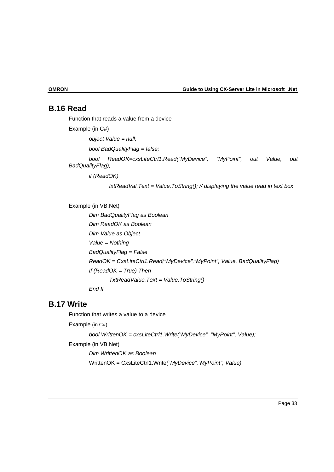## <span id="page-32-0"></span>**B.16 Read**

Function that reads a value from a device Example (in C#) o*bject Value = null; bool BadQualityFlag = false; bool ReadOK=cxsLiteCtrl1.Read("MyDevice", "MyPoint", out Value, out BadQualityFlag);* 

 *if (ReadOK)* 

 *txtReadVal.Text = Value.ToString(); // displaying the value read in text box* 

Example (in VB.Net)

*Dim BadQualityFlag as Boolean Dim ReadOK as Boolean Dim Value as Object Value = Nothing BadQualityFlag = False ReadOK = CxsLiteCtrl1.Read("MyDevice","MyPoint", Value, BadQualityFlag) If (ReadOK = True) Then TxtReadValue.Text = Value.ToString() End If* 

#### **B.17 Write**

Function that writes a value to a device Example (in C#) *bool WrittenOK = cxsLiteCtrl1.Write("MyDevice", "MyPoint", Value);*  Example (in VB.Net) *Dim WrittenOK as Boolean*  WrittenOK = CxsLiteCtrl1.Write*("MyDevice","MyPoint", Value)*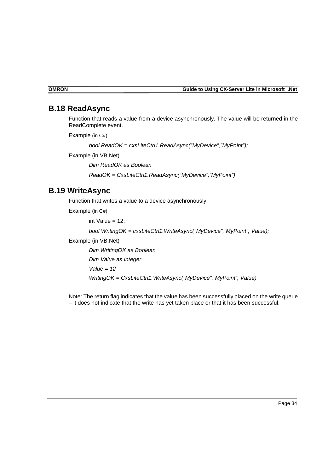#### <span id="page-33-0"></span>**B.18 ReadAsync**

Function that reads a value from a device asynchronously. The value will be returned in the ReadComplete event.

Example (in C#)

*bool ReadOK = cxsLiteCtrl1.ReadAsync("MyDevice","MyPoint");* 

Example (in VB.Net)

 *Dim ReadOK as Boolean ReadOK = CxsLiteCtrl1.ReadAsync("MyDevice","MyPoint")* 

### **B.19 WriteAsync**

Function that writes a value to a device asynchronously.

Example (in C#)

int Value  $= 12$ ;

*bool WritingOK = cxsLiteCtrl1.WriteAsync("MyDevice","MyPoint", Value);* 

Example (in VB.Net)

*Dim WritingOK as Boolean* 

*Dim Value as Integer* 

*Value = 12* 

*WritingOK = CxsLiteCtrl1.WriteAsync("MyDevice","MyPoint", Value)* 

Note: The return flag indicates that the value has been successfully placed on the write queue – it does not indicate that the write has yet taken place or that it has been successful.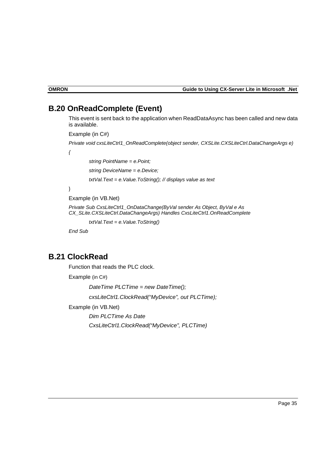### <span id="page-34-0"></span>**B.20 OnReadComplete (Event)**

This event is sent back to the application when ReadDataAsync has been called and new data is available.

Example (in C#)

*Private void cxsLiteCtrl1\_OnReadComplete(object sender, CXSLite.CXSLiteCtrl.DataChangeArgs e)* 

*{* 

 *string PointName = e.Point;* 

*string DeviceName = e.Device;* 

*txtVal.Text = e.Value.ToString(); // displays value as text* 

}

#### Example (in VB.Net)

*Private Sub CxsLiteCtrl1\_OnDataChange(ByVal sender As Object, ByVal e As CX\_SLite.CXSLiteCtrl.DataChangeArgs) Handles CxsLiteCtrl1.OnReadComplete* 

 *txtVal.Text = e.Value.ToString()* 

*End Sub* 

### **B.21 ClockRead**

Function that reads the PLC clock.

Example (in C#)

*DateTime PLCTime = new DateTime();* 

*cxsLiteCtrl1.ClockRead("MyDevice", out PLCTime);* 

Example (in VB.Net)

*Dim PLCTime As Date CxsLiteCtrl1.ClockRead("MyDevice", PLCTime)*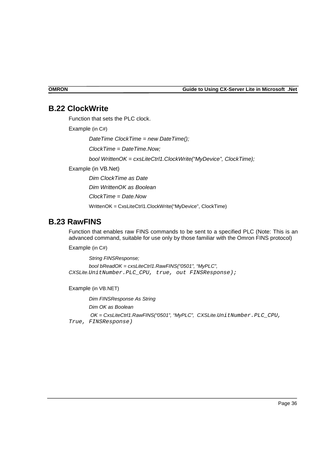#### <span id="page-35-0"></span>**B.22 ClockWrite**

Function that sets the PLC clock.

Example (in C#)

*DateTime ClockTime = new DateTime();* 

*ClockTime = DateTime.Now;* 

 *bool WrittenOK = cxsLiteCtrl1.ClockWrite("MyDevice", ClockTime);* 

Example (in VB.Net)

*Dim ClockTime as Date* 

*Dim WrittenOK as Boolean* 

*ClockTime = Date.Now* 

WrittenOK = CxsLiteCtrl1.ClockWrite("MyDevice", ClockTime)

#### **B.23 RawFINS**

Function that enables raw FINS commands to be sent to a specified PLC (Note: This is an advanced command, suitable for use only by those familiar with the Omron FINS protocol)

Example (in C#)

*String FINSResponse; bool bReadOK = cxsLiteCtrl1.RawFINS("0501", "MyPLC", CXSLite.*UnitNumber.PLC\_CPU, true, out FINSResponse);

Example (in VB.NET)

*Dim FINSResponse As String Dim OK as Boolean OK = CxsLiteCtrl1.RawFINS("0501", "MyPLC", CXSLite.*UnitNumber.PLC\_CPU, True, FINSResponse)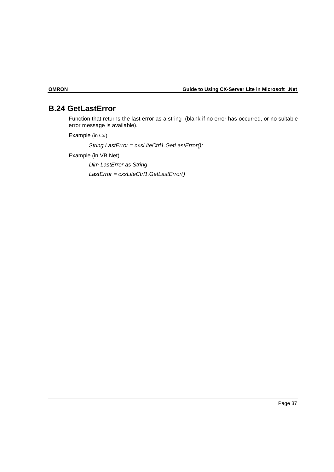## **B.24 GetLastError**

Function that returns the last error as a string (blank if no error has occurred, or no suitable error message is available).

Example (in C#)

*String LastError = cxsLiteCtrl1.GetLastError();* 

Example (in VB.Net)

*Dim LastError as String LastError = cxsLiteCtrl1.GetLastError()* 

<span id="page-36-0"></span>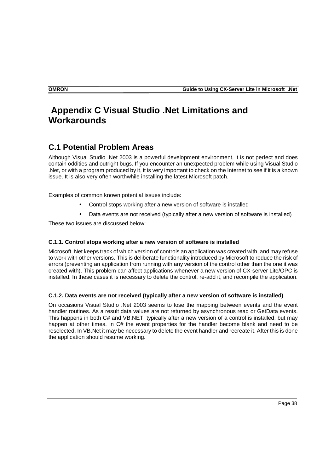## **Appendix C Visual Studio .Net Limitations and Workarounds**

## **C.1 Potential Problem Areas**

Although Visual Studio .Net 2003 is a powerful development environment, it is not perfect and does contain oddities and outright bugs. If you encounter an unexpected problem while using Visual Studio .Net, or with a program produced by it, it is very important to check on the Internet to see if it is a known issue. It is also very often worthwhile installing the latest Microsoft patch.

Examples of common known potential issues include:

- Control stops working after a new version of software is installed
- Data events are not received (typically after a new version of software is installed)

These two issues are discussed below:

#### **C.1.1. Control stops working after a new version of software is installed**

Microsoft .Net keeps track of which version of controls an application was created with, and may refuse to work with other versions. This is deliberate functionality introduced by Microsoft to reduce the risk of errors (preventing an application from running with any version of the control other than the one it was created with). This problem can affect applications whenever a new version of CX-server Lite/OPC is installed. In these cases it is necessary to delete the control, re-add it, and recompile the application.

#### **C.1.2. Data events are not received (typically after a new version of software is installed)**

On occasions Visual Studio .Net 2003 seems to lose the mapping between events and the event handler routines. As a result data values are not returned by asynchronous read or GetData events. This happens in both C# and VB.NET, typically after a new version of a control is installed, but may happen at other times. In C# the event properties for the handler become blank and need to be reselected. In VB.Net it may be necessary to delete the event handler and recreate it. After this is done the application should resume working.

<span id="page-37-0"></span>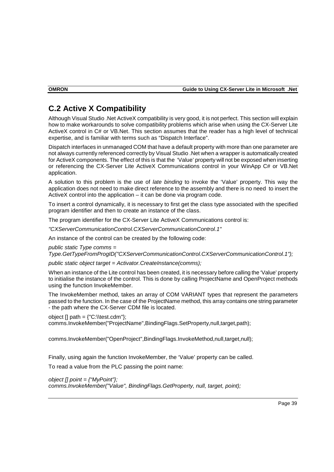## **C.2 Active X Compatibility**

Although Visual Studio .Net ActiveX compatibility is very good, it is not perfect. This section will explain how to make workarounds to solve compatibility problems which arise when using the CX-Server Lite ActiveX control in C# or VB.Net. This section assumes that the reader has a high level of technical expertise, and is familiar with terms such as "Dispatch Interface".

Dispatch interfaces in unmanaged COM that have a default property with more than one parameter are not always currently referenced correctly by Visual Studio .Net when a wrapper is automatically created for ActiveX components. The effect of this is that the 'Value' property will not be exposed when inserting or referencing the CX-Server Lite ActiveX Communications control in your WinApp C# or VB.Net application.

A solution to this problem is the use of *late binding* to invoke the 'Value' property. This way the application does not need to make direct reference to the assembly and there is no need to insert the ActiveX control into the application – it can be done via program code.

To insert a control dynamically, it is necessary to first get the class type associated with the specified program identifier and then to create an instance of the class.

The program identifier for the CX-Server Lite ActiveX Communications control is:

*"CXServerCommunicationControl.CXServerCommunicationControl.1"* 

An instance of the control can be created by the following code:

*public static Type comms =* 

*Type.GetTypeFromProgID("CXServerCommunicationControl.CXServerCommunicationControl.1");* 

*public static object target = Activator.CreateInstance(comms);* 

When an instance of the Lite control has been created, it is necessary before calling the 'Value' property to initialise the instance of the control. This is done by calling ProjectName and OpenProject methods using the function InvokeMember.

The InvokeMember method, takes an array of COM VARIANT types that represent the parameters passed to the function. In the case of the ProjectName method, this array contains one string parameter - the path where the CX-Server CDM file is located.

object  $[]$  path =  ${C:\text{C.m.}}$ ;

comms.InvokeMember("ProjectName",BindingFlags.SetProperty,null,target,path);

comms.InvokeMember("OpenProject",BindingFlags.InvokeMethod,null,target,null);

Finally, using again the function InvokeMember, the 'Value' property can be called.

To read a value from the PLC passing the point name:

*object [] point = {"MyPoint"}; comms.InvokeMember("Value", BindingFlags.GetProperty, null, target, point);* 

<span id="page-38-0"></span>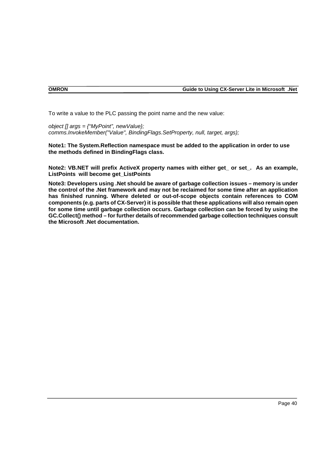To write a value to the PLC passing the point name and the new value:

*object [] args = {"MyPoint", newValue}; comms.InvokeMember("Value", BindingFlags.SetProperty, null, target, args);* 

**Note1: The System.Reflection namespace must be added to the application in order to use the methods defined in BindingFlags class.** 

**Note2: VB.NET will prefix ActiveX property names with either get\_ or set\_. As an example, ListPoints will become get\_ListPoints**

**Note3: Developers using .Net should be aware of garbage collection issues – memory is under the control of the .Net framework and may not be reclaimed for some time after an application has finished running. Where deleted or out-of-scope objects contain references to COM components (e.g. parts of CX-Server) it is possible that these applications will also remain open for some time until garbage collection occurs. Garbage collection can be forced by using the GC.Collect() method – for further details of recommended garbage collection techniques consult the Microsoft .Net documentation.**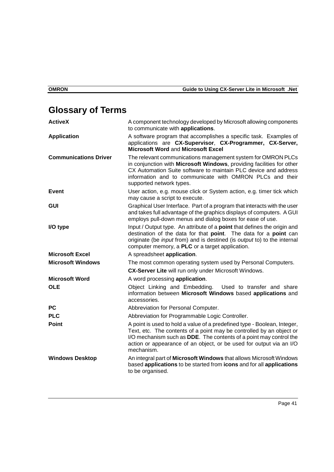# <span id="page-40-0"></span>**Glossary of Terms**

| <b>ActiveX</b>               | A component technology developed by Microsoft allowing components<br>to communicate with applications.                                                                                                                                                                                                              |
|------------------------------|---------------------------------------------------------------------------------------------------------------------------------------------------------------------------------------------------------------------------------------------------------------------------------------------------------------------|
| <b>Application</b>           | A software program that accomplishes a specific task. Examples of<br>applications are CX-Supervisor, CX-Programmer, CX-Server,<br>Microsoft Word and Microsoft Excel                                                                                                                                                |
| <b>Communications Driver</b> | The relevant communications management system for OMRON PLCs<br>in conjunction with Microsoft Windows, providing facilities for other<br>CX Automation Suite software to maintain PLC device and address<br>information and to communicate with OMRON PLCs and their<br>supported network types.                    |
| <b>Event</b>                 | User action, e.g. mouse click or System action, e.g. timer tick which<br>may cause a script to execute.                                                                                                                                                                                                             |
| <b>GUI</b>                   | Graphical User Interface. Part of a program that interacts with the user<br>and takes full advantage of the graphics displays of computers. A GUI<br>employs pull-down menus and dialog boxes for ease of use.                                                                                                      |
| I/O type                     | Input / Output type. An attribute of a point that defines the origin and<br>destination of the data for that point. The data for a point can<br>originate (be <i>input</i> from) and is destined (is <i>output</i> to) to the internal<br>computer memory, a PLC or a target application.                           |
| <b>Microsoft Excel</b>       | A spreadsheet application.                                                                                                                                                                                                                                                                                          |
| <b>Microsoft Windows</b>     | The most common operating system used by Personal Computers.                                                                                                                                                                                                                                                        |
|                              | CX-Server Lite will run only under Microsoft Windows.                                                                                                                                                                                                                                                               |
| <b>Microsoft Word</b>        | A word processing application.                                                                                                                                                                                                                                                                                      |
| <b>OLE</b>                   | Object Linking and Embedding.<br>Used to transfer and share<br>information between Microsoft Windows based applications and<br>accessories.                                                                                                                                                                         |
| <b>PC</b>                    | Abbreviation for Personal Computer.                                                                                                                                                                                                                                                                                 |
| <b>PLC</b>                   | Abbreviation for Programmable Logic Controller.                                                                                                                                                                                                                                                                     |
| Point                        | A point is used to hold a value of a predefined type - Boolean, Integer,<br>Text, etc. The contents of a point may be controlled by an object or<br>I/O mechanism such as <b>DDE</b> . The contents of a point may control the<br>action or appearance of an object, or be used for output via an I/O<br>mechanism. |
| <b>Windows Desktop</b>       | An integral part of Microsoft Windows that allows Microsoft Windows<br>based applications to be started from icons and for all applications<br>to be organised.                                                                                                                                                     |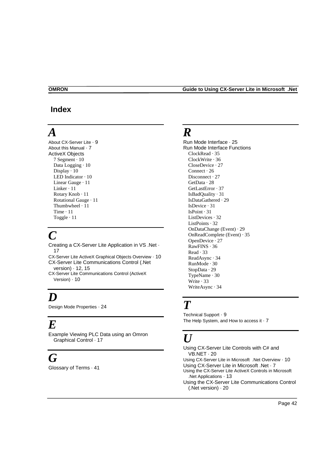#### <span id="page-41-0"></span> **Index**

## *A*

About CX-Server Lite · 9 About this Manual · 7 ActiveX Objects 7 Segment · 10 Data Logging  $\cdot$  10 Display  $\cdot$  10 LED Indicator · 10 Linear Gauge · 11 Linker · 11 Rotary Knob · 11 Rotational Gauge · 11 Thumbwheel · 11 Time · 11 Toggle · 11

## *C*

Creating a CX-Server Lite Application in VS .Net · 17

CX-Server Lite ActiveX Graphical Objects Overview · 10 CX-Server Lite Communications Control (.Net

version) · 12, 15 CX-Server Lite Communications Control (ActiveX Version) · 10

# *D*

Design Mode Properties · 24

## *E*

Example Viewing PLC Data using an Omron Graphical Control · 17

## *G*

Glossary of Terms · 41

## *R*

Run Mode Interface · 25 Run Mode Interface Functions ClockRead · 35 ClockWrite · 36 CloseDevice · 27 Connect · 26 Disconnect · 27 GetData · 28 GetLastError · 37 IsBadQuality · 31 IsDataGathered · 29 IsDevice · 31 IsPoint · 31 ListDevices · 32 ListPoints · 32 OnDataChange (Event) · 29 OnReadComplete (Event) · 35 OpenDevice · 27 RawFINS · 36 Read · 33 ReadAsync · 34 RunMode · 30 StopData · 29 TypeName · 30 Write · 33 WriteAsync · 34

## *T*

Technical Support · 9 The Help System, and How to access it  $\cdot$  7

# *U*

Using CX-Server Lite Controls with C# and VB.NET · 20 Using CX-Server Lite in Microsoft .Net Overview · 10 Using CX-Server Lite in Microsoft .Net · 7 Using the CX-Server Lite ActiveX Controls in Microsoft .Net Applications · 13 Using the CX-Server Lite Communications Control (.Net version) · 20